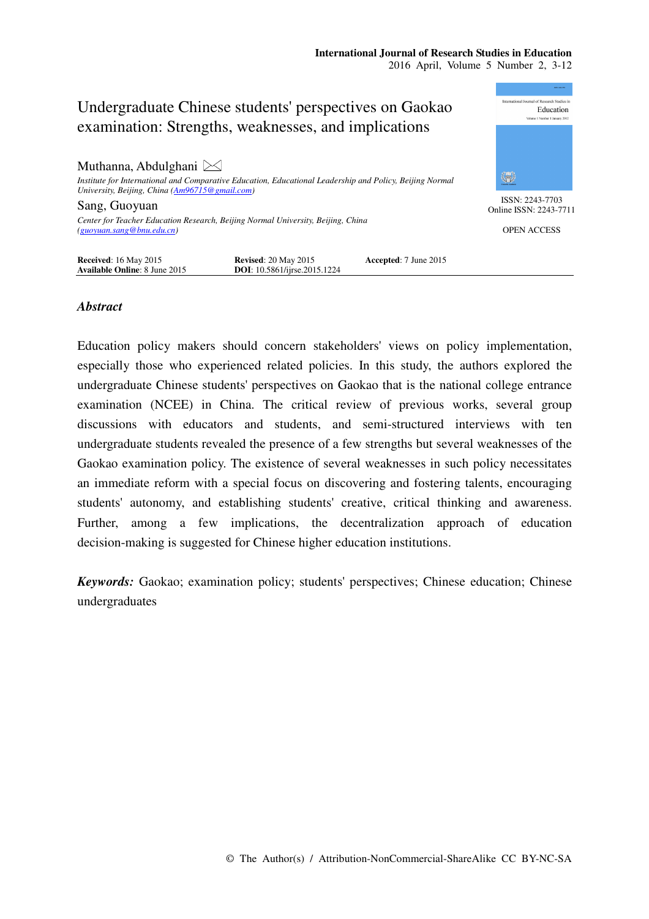

## *Abstract*

Education policy makers should concern stakeholders' views on policy implementation, especially those who experienced related policies. In this study, the authors explored the undergraduate Chinese students' perspectives on Gaokao that is the national college entrance examination (NCEE) in China. The critical review of previous works, several group discussions with educators and students, and semi-structured interviews with ten undergraduate students revealed the presence of a few strengths but several weaknesses of the Gaokao examination policy. The existence of several weaknesses in such policy necessitates an immediate reform with a special focus on discovering and fostering talents, encouraging students' autonomy, and establishing students' creative, critical thinking and awareness. Further, among a few implications, the decentralization approach of education decision-making is suggested for Chinese higher education institutions.

*Keywords:* Gaokao; examination policy; students' perspectives; Chinese education; Chinese undergraduates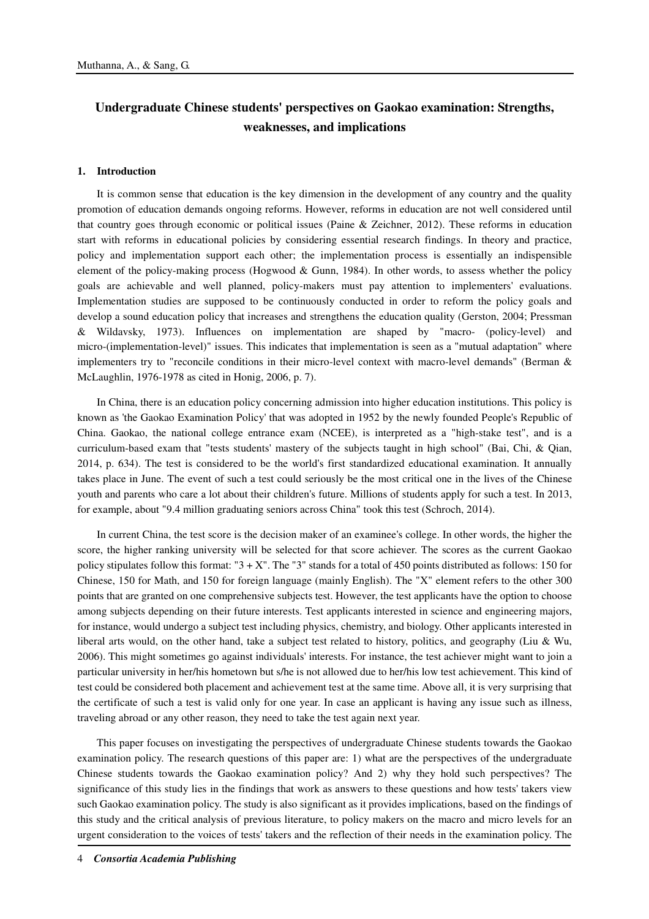# **Undergraduate Chinese students' perspectives on Gaokao examination: Strengths, weaknesses, and implications**

#### **1. Introduction**

It is common sense that education is the key dimension in the development of any country and the quality promotion of education demands ongoing reforms. However, reforms in education are not well considered until that country goes through economic or political issues (Paine & Zeichner, 2012). These reforms in education start with reforms in educational policies by considering essential research findings. In theory and practice, policy and implementation support each other; the implementation process is essentially an indispensible element of the policy-making process (Hogwood & Gunn, 1984). In other words, to assess whether the policy goals are achievable and well planned, policy-makers must pay attention to implementers' evaluations. Implementation studies are supposed to be continuously conducted in order to reform the policy goals and develop a sound education policy that increases and strengthens the education quality (Gerston, 2004; Pressman & Wildavsky, 1973). Influences on implementation are shaped by "macro- (policy-level) and micro-(implementation-level)" issues. This indicates that implementation is seen as a "mutual adaptation" where implementers try to "reconcile conditions in their micro-level context with macro-level demands" (Berman & McLaughlin, 1976-1978 as cited in Honig, 2006, p. 7).

In China, there is an education policy concerning admission into higher education institutions. This policy is known as 'the Gaokao Examination Policy' that was adopted in 1952 by the newly founded People's Republic of China. Gaokao, the national college entrance exam (NCEE), is interpreted as a "high-stake test", and is a curriculum-based exam that "tests students' mastery of the subjects taught in high school" (Bai, Chi, & Qian, 2014, p. 634). The test is considered to be the world's first standardized educational examination. It annually takes place in June. The event of such a test could seriously be the most critical one in the lives of the Chinese youth and parents who care a lot about their children's future. Millions of students apply for such a test. In 2013, for example, about "9.4 million graduating seniors across China" took this test (Schroch, 2014).

In current China, the test score is the decision maker of an examinee's college. In other words, the higher the score, the higher ranking university will be selected for that score achiever. The scores as the current Gaokao policy stipulates follow this format: " $3 + X$ ". The "3" stands for a total of 450 points distributed as follows: 150 for Chinese, 150 for Math, and 150 for foreign language (mainly English). The "X" element refers to the other 300 points that are granted on one comprehensive subjects test. However, the test applicants have the option to choose among subjects depending on their future interests. Test applicants interested in science and engineering majors, for instance, would undergo a subject test including physics, chemistry, and biology. Other applicants interested in liberal arts would, on the other hand, take a subject test related to history, politics, and geography (Liu & Wu, 2006). This might sometimes go against individuals' interests. For instance, the test achiever might want to join a particular university in her/his hometown but s/he is not allowed due to her/his low test achievement. This kind of test could be considered both placement and achievement test at the same time. Above all, it is very surprising that the certificate of such a test is valid only for one year. In case an applicant is having any issue such as illness, traveling abroad or any other reason, they need to take the test again next year.

This paper focuses on investigating the perspectives of undergraduate Chinese students towards the Gaokao examination policy. The research questions of this paper are: 1) what are the perspectives of the undergraduate Chinese students towards the Gaokao examination policy? And 2) why they hold such perspectives? The significance of this study lies in the findings that work as answers to these questions and how tests' takers view such Gaokao examination policy. The study is also significant as it provides implications, based on the findings of this study and the critical analysis of previous literature, to policy makers on the macro and micro levels for an urgent consideration to the voices of tests' takers and the reflection of their needs in the examination policy. The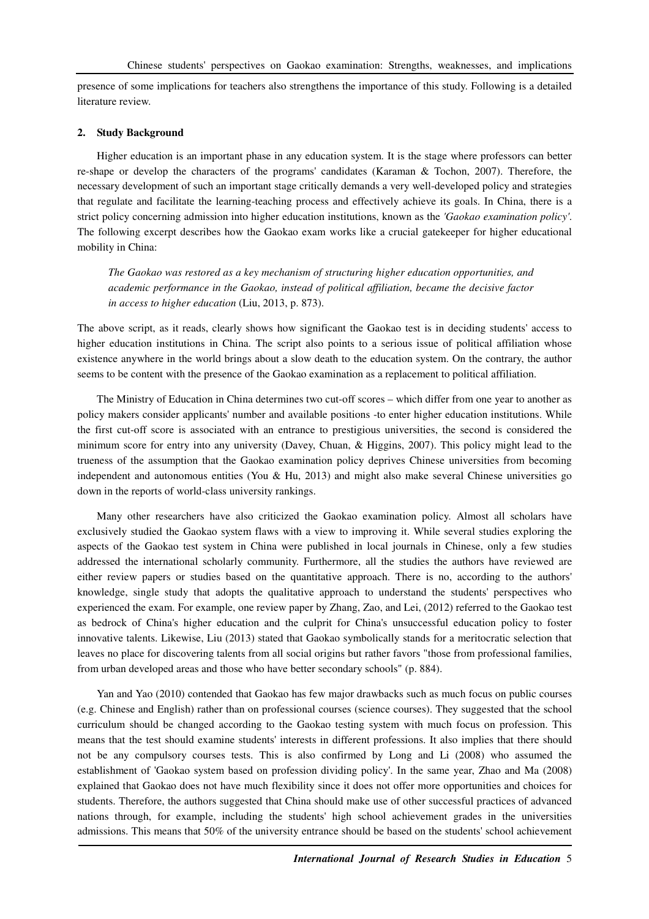presence of some implications for teachers also strengthens the importance of this study. Following is a detailed literature review.

#### **2. Study Background**

Higher education is an important phase in any education system. It is the stage where professors can better re-shape or develop the characters of the programs' candidates (Karaman & Tochon, 2007). Therefore, the necessary development of such an important stage critically demands a very well-developed policy and strategies that regulate and facilitate the learning-teaching process and effectively achieve its goals. In China, there is a strict policy concerning admission into higher education institutions, known as the *'Gaokao examination policy'*. The following excerpt describes how the Gaokao exam works like a crucial gatekeeper for higher educational mobility in China:

*The Gaokao was restored as a key mechanism of structuring higher education opportunities, and academic performance in the Gaokao, instead of political affiliation, became the decisive factor in access to higher education* (Liu, 2013, p. 873).

The above script, as it reads, clearly shows how significant the Gaokao test is in deciding students' access to higher education institutions in China. The script also points to a serious issue of political affiliation whose existence anywhere in the world brings about a slow death to the education system. On the contrary, the author seems to be content with the presence of the Gaokao examination as a replacement to political affiliation.

The Ministry of Education in China determines two cut-off scores – which differ from one year to another as policy makers consider applicants' number and available positions -to enter higher education institutions. While the first cut-off score is associated with an entrance to prestigious universities, the second is considered the minimum score for entry into any university (Davey, Chuan, & Higgins, 2007). This policy might lead to the trueness of the assumption that the Gaokao examination policy deprives Chinese universities from becoming independent and autonomous entities (You & Hu, 2013) and might also make several Chinese universities go down in the reports of world-class university rankings.

Many other researchers have also criticized the Gaokao examination policy. Almost all scholars have exclusively studied the Gaokao system flaws with a view to improving it. While several studies exploring the aspects of the Gaokao test system in China were published in local journals in Chinese, only a few studies addressed the international scholarly community. Furthermore, all the studies the authors have reviewed are either review papers or studies based on the quantitative approach. There is no, according to the authors' knowledge, single study that adopts the qualitative approach to understand the students' perspectives who experienced the exam. For example, one review paper by Zhang, Zao, and Lei, (2012) referred to the Gaokao test as bedrock of China's higher education and the culprit for China's unsuccessful education policy to foster innovative talents. Likewise, Liu (2013) stated that Gaokao symbolically stands for a meritocratic selection that leaves no place for discovering talents from all social origins but rather favors "those from professional families, from urban developed areas and those who have better secondary schools" (p. 884).

Yan and Yao (2010) contended that Gaokao has few major drawbacks such as much focus on public courses (e.g. Chinese and English) rather than on professional courses (science courses). They suggested that the school curriculum should be changed according to the Gaokao testing system with much focus on profession. This means that the test should examine students' interests in different professions. It also implies that there should not be any compulsory courses tests. This is also confirmed by Long and Li (2008) who assumed the establishment of 'Gaokao system based on profession dividing policy'. In the same year, Zhao and Ma (2008) explained that Gaokao does not have much flexibility since it does not offer more opportunities and choices for students. Therefore, the authors suggested that China should make use of other successful practices of advanced nations through, for example, including the students' high school achievement grades in the universities admissions. This means that 50% of the university entrance should be based on the students' school achievement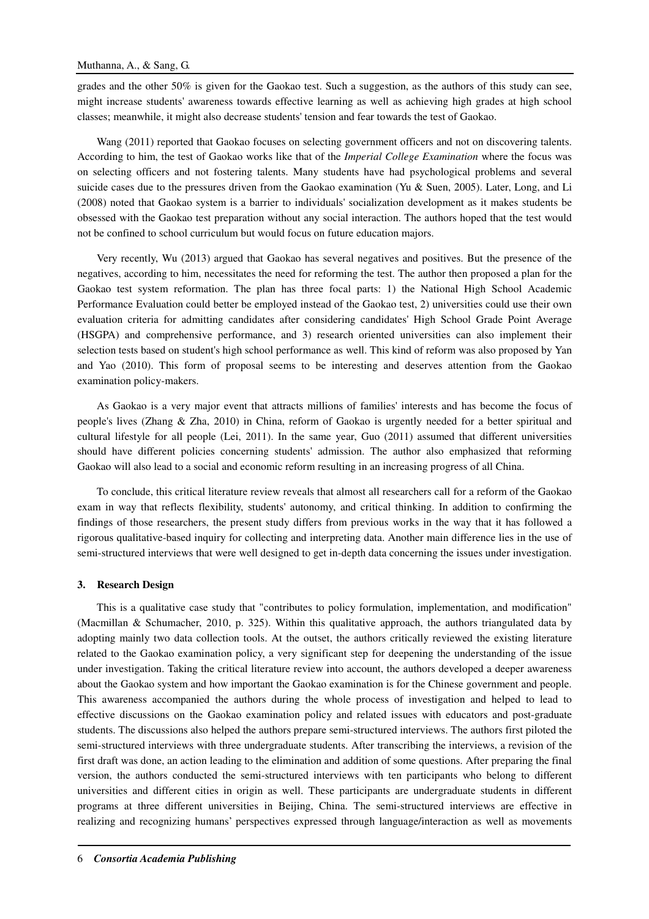grades and the other  $50\%$  is given for the Gaokao test. Such a suggestion, as the authors of this study can see, might increase students' awareness towards effective learning as well as achieving high grades at high school classes; meanwhile, it might also decrease students' tension and fear towards the test of Gaokao.

Wang (2011) reported that Gaokao focuses on selecting government officers and not on discovering talents. According to him, the test of Gaokao works like that of the *Imperial College Examination* where the focus was on selecting officers and not fostering talents. Many students have had psychological problems and several suicide cases due to the pressures driven from the Gaokao examination (Yu & Suen, 2005). Later, Long, and Li (2008) noted that Gaokao system is a barrier to individuals' socialization development as it makes students be obsessed with the Gaokao test preparation without any social interaction. The authors hoped that the test would not be confined to school curriculum but would focus on future education majors.

Very recently, Wu (2013) argued that Gaokao has several negatives and positives. But the presence of the negatives, according to him, necessitates the need for reforming the test. The author then proposed a plan for the Gaokao test system reformation. The plan has three focal parts: 1) the National High School Academic Performance Evaluation could better be employed instead of the Gaokao test, 2) universities could use their own evaluation criteria for admitting candidates after considering candidates' High School Grade Point Average (HSGPA) and comprehensive performance, and 3) research oriented universities can also implement their selection tests based on student's high school performance as well. This kind of reform was also proposed by Yan and Yao (2010). This form of proposal seems to be interesting and deserves attention from the Gaokao examination policy-makers.

As Gaokao is a very major event that attracts millions of families' interests and has become the focus of people's lives (Zhang & Zha, 2010) in China, reform of Gaokao is urgently needed for a better spiritual and cultural lifestyle for all people (Lei, 2011). In the same year, Guo (2011) assumed that different universities should have different policies concerning students' admission. The author also emphasized that reforming Gaokao will also lead to a social and economic reform resulting in an increasing progress of all China.

To conclude, this critical literature review reveals that almost all researchers call for a reform of the Gaokao exam in way that reflects flexibility, students' autonomy, and critical thinking. In addition to confirming the findings of those researchers, the present study differs from previous works in the way that it has followed a rigorous qualitative-based inquiry for collecting and interpreting data. Another main difference lies in the use of semi-structured interviews that were well designed to get in-depth data concerning the issues under investigation.

#### **3. Research Design**

This is a qualitative case study that "contributes to policy formulation, implementation, and modification" (Macmillan & Schumacher, 2010, p. 325). Within this qualitative approach, the authors triangulated data by adopting mainly two data collection tools. At the outset, the authors critically reviewed the existing literature related to the Gaokao examination policy, a very significant step for deepening the understanding of the issue under investigation. Taking the critical literature review into account, the authors developed a deeper awareness about the Gaokao system and how important the Gaokao examination is for the Chinese government and people. This awareness accompanied the authors during the whole process of investigation and helped to lead to effective discussions on the Gaokao examination policy and related issues with educators and post-graduate students. The discussions also helped the authors prepare semi-structured interviews. The authors first piloted the semi-structured interviews with three undergraduate students. After transcribing the interviews, a revision of the first draft was done, an action leading to the elimination and addition of some questions. After preparing the final version, the authors conducted the semi-structured interviews with ten participants who belong to different universities and different cities in origin as well. These participants are undergraduate students in different programs at three different universities in Beijing, China. The semi-structured interviews are effective in realizing and recognizing humans' perspectives expressed through language/interaction as well as movements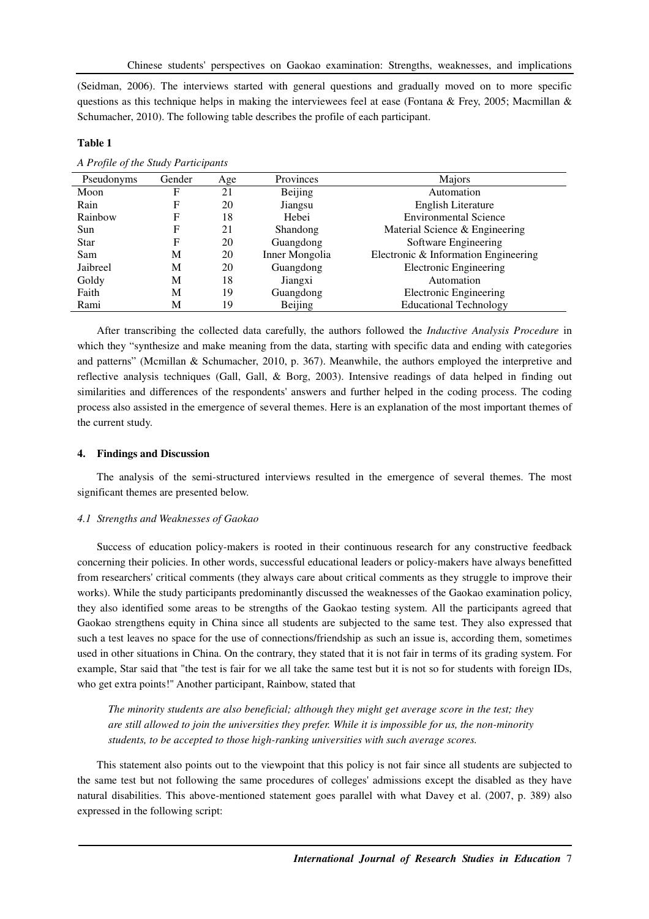(Seidman, 2006). The interviews started with general questions and gradually moved on to more specific questions as this technique helps in making the interviewees feel at ease (Fontana & Frey, 2005; Macmillan & Schumacher, 2010). The following table describes the profile of each participant.

## **Table 1**

|  | A Profile of the Study Participants |  |
|--|-------------------------------------|--|
|  |                                     |  |

| Pseudonyms  | Gender | Age | Provinces      | Majors                               |
|-------------|--------|-----|----------------|--------------------------------------|
| Moon        | F      | 21  | Beijing        | Automation                           |
| Rain        | F      | 20  | Jiangsu        | English Literature                   |
| Rainbow     | F      | 18  | Hebei          | <b>Environmental Science</b>         |
| Sun         | F      | 21  | Shandong       | Material Science & Engineering       |
| <b>Star</b> | F      | 20  | Guangdong      | Software Engineering                 |
| Sam         | M      | 20  | Inner Mongolia | Electronic & Information Engineering |
| Jaibreel    | M      | 20  | Guangdong      | <b>Electronic Engineering</b>        |
| Goldy       | M      | 18  | Jiangxi        | Automation                           |
| Faith       | M      | 19  | Guangdong      | <b>Electronic Engineering</b>        |
| Rami        | М      | 19  | <b>Beijing</b> | <b>Educational Technology</b>        |

After transcribing the collected data carefully, the authors followed the *Inductive Analysis Procedure* in which they "synthesize and make meaning from the data, starting with specific data and ending with categories and patterns" (Mcmillan & Schumacher, 2010, p. 367). Meanwhile, the authors employed the interpretive and reflective analysis techniques (Gall, Gall, & Borg, 2003). Intensive readings of data helped in finding out similarities and differences of the respondents' answers and further helped in the coding process. The coding process also assisted in the emergence of several themes. Here is an explanation of the most important themes of the current study.

## **4. Findings and Discussion**

The analysis of the semi-structured interviews resulted in the emergence of several themes. The most significant themes are presented below.

## *4.1 Strengths and Weaknesses of Gaokao*

Success of education policy-makers is rooted in their continuous research for any constructive feedback concerning their policies. In other words, successful educational leaders or policy-makers have always benefitted from researchers' critical comments (they always care about critical comments as they struggle to improve their works). While the study participants predominantly discussed the weaknesses of the Gaokao examination policy, they also identified some areas to be strengths of the Gaokao testing system. All the participants agreed that Gaokao strengthens equity in China since all students are subjected to the same test. They also expressed that such a test leaves no space for the use of connections/friendship as such an issue is, according them, sometimes used in other situations in China. On the contrary, they stated that it is not fair in terms of its grading system. For example, Star said that "the test is fair for we all take the same test but it is not so for students with foreign IDs, who get extra points!" Another participant, Rainbow, stated that

*The minority students are also beneficial; although they might get average score in the test; they are still allowed to join the universities they prefer. While it is impossible for us, the non-minority students, to be accepted to those high-ranking universities with such average scores.* 

This statement also points out to the viewpoint that this policy is not fair since all students are subjected to the same test but not following the same procedures of colleges' admissions except the disabled as they have natural disabilities. This above-mentioned statement goes parallel with what Davey et al. (2007, p. 389) also expressed in the following script: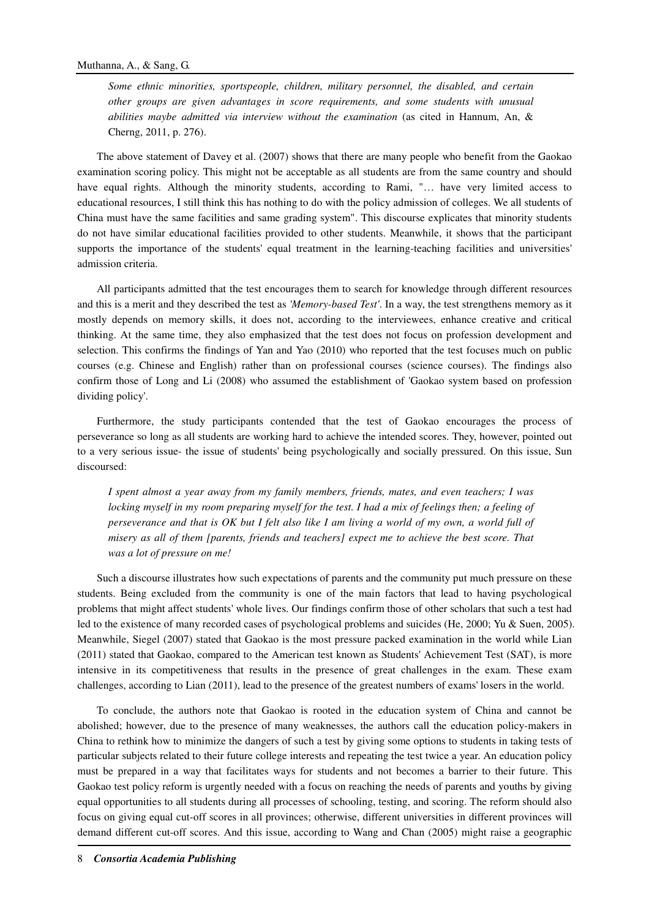*Some ethnic minorities, sportspeople, children, military personnel, the disabled, and certain other groups are given advantages in score requirements, and some students with unusual abilities maybe admitted via interview without the examination* (as cited in Hannum, An, & Cherng, 2011, p. 276).

The above statement of Davey et al. (2007) shows that there are many people who benefit from the Gaokao examination scoring policy. This might not be acceptable as all students are from the same country and should have equal rights. Although the minority students, according to Rami, "... have very limited access to educational resources, I still think this has nothing to do with the policy admission of colleges. We all students of China must have the same facilities and same grading system". This discourse explicates that minority students do not have similar educational facilities provided to other students. Meanwhile, it shows that the participant supports the importance of the students' equal treatment in the learning-teaching facilities and universities' admission criteria.

All participants admitted that the test encourages them to search for knowledge through different resources and this is a merit and they described the test as *'Memory-based Test'*. In a way, the test strengthens memory as it mostly depends on memory skills, it does not, according to the interviewees, enhance creative and critical thinking. At the same time, they also emphasized that the test does not focus on profession development and selection. This confirms the findings of Yan and Yao (2010) who reported that the test focuses much on public courses (e.g. Chinese and English) rather than on professional courses (science courses). The findings also confirm those of Long and Li (2008) who assumed the establishment of 'Gaokao system based on profession dividing policy'.

Furthermore, the study participants contended that the test of Gaokao encourages the process of perseverance so long as all students are working hard to achieve the intended scores. They, however, pointed out to a very serious issue- the issue of students' being psychologically and socially pressured. On this issue, Sun discoursed:

*I spent almost a year away from my family members, friends, mates, and even teachers; I was locking myself in my room preparing myself for the test. I had a mix of feelings then; a feeling of perseverance and that is OK but I felt also like I am living a world of my own, a world full of misery as all of them [parents, friends and teachers] expect me to achieve the best score. That was a lot of pressure on me!* 

Such a discourse illustrates how such expectations of parents and the community put much pressure on these students. Being excluded from the community is one of the main factors that lead to having psychological problems that might affect students' whole lives. Our findings confirm those of other scholars that such a test had led to the existence of many recorded cases of psychological problems and suicides (He, 2000; Yu & Suen, 2005). Meanwhile, Siegel (2007) stated that Gaokao is the most pressure packed examination in the world while Lian (2011) stated that Gaokao, compared to the American test known as Students' Achievement Test (SAT), is more intensive in its competitiveness that results in the presence of great challenges in the exam. These exam challenges, according to Lian (2011), lead to the presence of the greatest numbers of exams' losers in the world.

To conclude, the authors note that Gaokao is rooted in the education system of China and cannot be abolished; however, due to the presence of many weaknesses, the authors call the education policy-makers in China to rethink how to minimize the dangers of such a test by giving some options to students in taking tests of particular subjects related to their future college interests and repeating the test twice a year. An education policy must be prepared in a way that facilitates ways for students and not becomes a barrier to their future. This Gaokao test policy reform is urgently needed with a focus on reaching the needs of parents and youths by giving equal opportunities to all students during all processes of schooling, testing, and scoring. The reform should also focus on giving equal cut-off scores in all provinces; otherwise, different universities in different provinces will demand different cut-off scores. And this issue, according to Wang and Chan (2005) might raise a geographic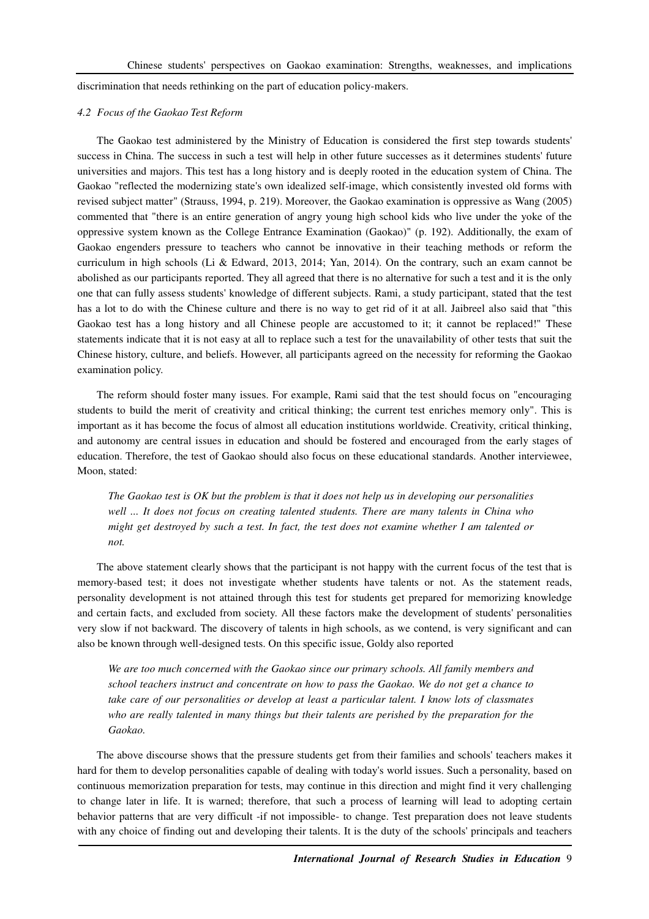discrimination that needs rethinking on the part of education policy-makers.

### *4.2 Focus of the Gaokao Test Reform*

The Gaokao test administered by the Ministry of Education is considered the first step towards students' success in China. The success in such a test will help in other future successes as it determines students' future universities and majors. This test has a long history and is deeply rooted in the education system of China. The Gaokao "reflected the modernizing state's own idealized self-image, which consistently invested old forms with revised subject matter" (Strauss, 1994, p. 219). Moreover, the Gaokao examination is oppressive as Wang (2005) commented that "there is an entire generation of angry young high school kids who live under the yoke of the oppressive system known as the College Entrance Examination (Gaokao)" (p. 192). Additionally, the exam of Gaokao engenders pressure to teachers who cannot be innovative in their teaching methods or reform the curriculum in high schools (Li & Edward, 2013, 2014; Yan, 2014). On the contrary, such an exam cannot be abolished as our participants reported. They all agreed that there is no alternative for such a test and it is the only one that can fully assess students' knowledge of different subjects. Rami, a study participant, stated that the test has a lot to do with the Chinese culture and there is no way to get rid of it at all. Jaibreel also said that "this Gaokao test has a long history and all Chinese people are accustomed to it; it cannot be replaced!" These statements indicate that it is not easy at all to replace such a test for the unavailability of other tests that suit the Chinese history, culture, and beliefs. However, all participants agreed on the necessity for reforming the Gaokao examination policy.

The reform should foster many issues. For example, Rami said that the test should focus on "encouraging students to build the merit of creativity and critical thinking; the current test enriches memory only". This is important as it has become the focus of almost all education institutions worldwide. Creativity, critical thinking, and autonomy are central issues in education and should be fostered and encouraged from the early stages of education. Therefore, the test of Gaokao should also focus on these educational standards. Another interviewee, Moon, stated:

*The Gaokao test is OK but the problem is that it does not help us in developing our personalities well ... It does not focus on creating talented students. There are many talents in China who might get destroyed by such a test. In fact, the test does not examine whether I am talented or not.* 

The above statement clearly shows that the participant is not happy with the current focus of the test that is memory-based test; it does not investigate whether students have talents or not. As the statement reads, personality development is not attained through this test for students get prepared for memorizing knowledge and certain facts, and excluded from society. All these factors make the development of students' personalities very slow if not backward. The discovery of talents in high schools, as we contend, is very significant and can also be known through well-designed tests. On this specific issue, Goldy also reported

*We are too much concerned with the Gaokao since our primary schools. All family members and school teachers instruct and concentrate on how to pass the Gaokao. We do not get a chance to take care of our personalities or develop at least a particular talent. I know lots of classmates who are really talented in many things but their talents are perished by the preparation for the Gaokao.* 

The above discourse shows that the pressure students get from their families and schools' teachers makes it hard for them to develop personalities capable of dealing with today's world issues. Such a personality, based on continuous memorization preparation for tests, may continue in this direction and might find it very challenging to change later in life. It is warned; therefore, that such a process of learning will lead to adopting certain behavior patterns that are very difficult -if not impossible- to change. Test preparation does not leave students with any choice of finding out and developing their talents. It is the duty of the schools' principals and teachers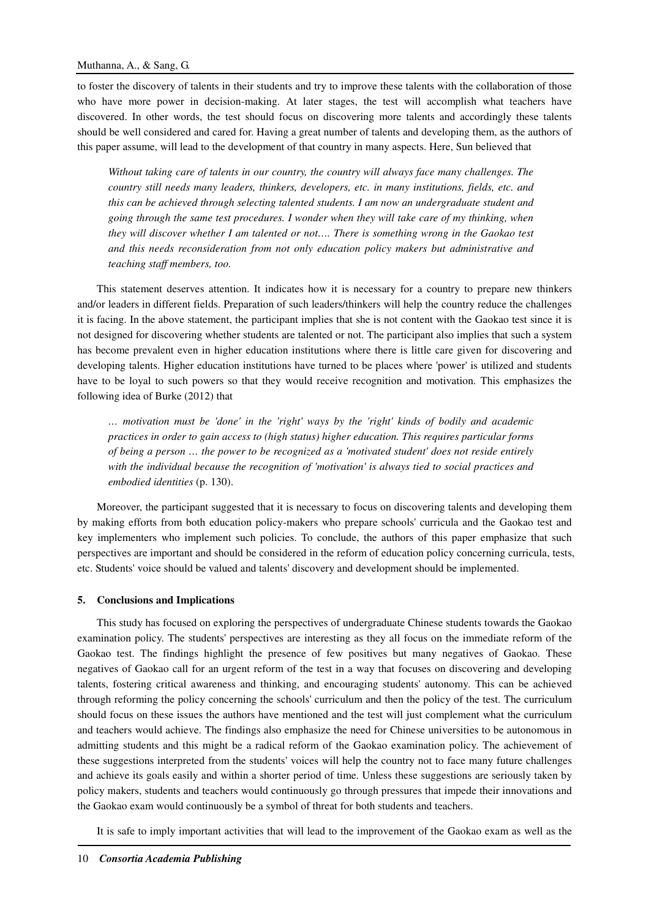to foster the discovery of talents in their students and try to improve these talents with the collaboration of those who have more power in decision-making. At later stages, the test will accomplish what teachers have discovered. In other words, the test should focus on discovering more talents and accordingly these talents should be well considered and cared for. Having a great number of talents and developing them, as the authors of this paper assume, will lead to the development of that country in many aspects. Here, Sun believed that

*Without taking care of talents in our country, the country will always face many challenges. The country still needs many leaders, thinkers, developers, etc. in many institutions, fields, etc. and this can be achieved through selecting talented students. I am now an undergraduate student and going through the same test procedures. I wonder when they will take care of my thinking, when they will discover whether I am talented or not…. There is something wrong in the Gaokao test and this needs reconsideration from not only education policy makers but administrative and teaching staff members, too.* 

This statement deserves attention. It indicates how it is necessary for a country to prepare new thinkers and/or leaders in different fields. Preparation of such leaders/thinkers will help the country reduce the challenges it is facing. In the above statement, the participant implies that she is not content with the Gaokao test since it is not designed for discovering whether students are talented or not. The participant also implies that such a system has become prevalent even in higher education institutions where there is little care given for discovering and developing talents. Higher education institutions have turned to be places where 'power' is utilized and students have to be loyal to such powers so that they would receive recognition and motivation. This emphasizes the following idea of Burke (2012) that

*… motivation must be 'done' in the 'right' ways by the 'right' kinds of bodily and academic practices in order to gain access to (high status) higher education. This requires particular forms of being a person … the power to be recognized as a 'motivated student' does not reside entirely with the individual because the recognition of 'motivation' is always tied to social practices and embodied identities* (p. 130).

Moreover, the participant suggested that it is necessary to focus on discovering talents and developing them by making efforts from both education policy-makers who prepare schools' curricula and the Gaokao test and key implementers who implement such policies. To conclude, the authors of this paper emphasize that such perspectives are important and should be considered in the reform of education policy concerning curricula, tests, etc. Students' voice should be valued and talents' discovery and development should be implemented.

### **5. Conclusions and Implications**

This study has focused on exploring the perspectives of undergraduate Chinese students towards the Gaokao examination policy. The students' perspectives are interesting as they all focus on the immediate reform of the Gaokao test. The findings highlight the presence of few positives but many negatives of Gaokao. These negatives of Gaokao call for an urgent reform of the test in a way that focuses on discovering and developing talents, fostering critical awareness and thinking, and encouraging students' autonomy. This can be achieved through reforming the policy concerning the schools' curriculum and then the policy of the test. The curriculum should focus on these issues the authors have mentioned and the test will just complement what the curriculum and teachers would achieve. The findings also emphasize the need for Chinese universities to be autonomous in admitting students and this might be a radical reform of the Gaokao examination policy. The achievement of these suggestions interpreted from the students' voices will help the country not to face many future challenges and achieve its goals easily and within a shorter period of time. Unless these suggestions are seriously taken by policy makers, students and teachers would continuously go through pressures that impede their innovations and the Gaokao exam would continuously be a symbol of threat for both students and teachers.

It is safe to imply important activities that will lead to the improvement of the Gaokao exam as well as the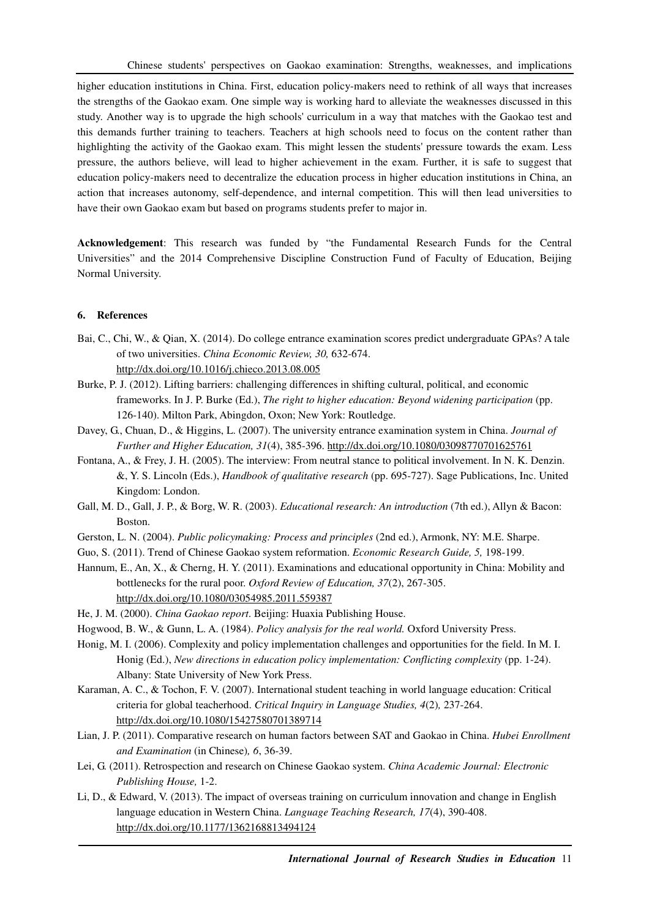higher education institutions in China. First, education policy-makers need to rethink of all ways that increases the strengths of the Gaokao exam. One simple way is working hard to alleviate the weaknesses discussed in this study. Another way is to upgrade the high schools' curriculum in a way that matches with the Gaokao test and this demands further training to teachers. Teachers at high schools need to focus on the content rather than highlighting the activity of the Gaokao exam. This might lessen the students' pressure towards the exam. Less pressure, the authors believe, will lead to higher achievement in the exam. Further, it is safe to suggest that education policy-makers need to decentralize the education process in higher education institutions in China, an action that increases autonomy, self-dependence, and internal competition. This will then lead universities to have their own Gaokao exam but based on programs students prefer to major in.

**Acknowledgement**: This research was funded by "the Fundamental Research Funds for the Central Universities" and the 2014 Comprehensive Discipline Construction Fund of Faculty of Education, Beijing Normal University.

## **6. References**

- Bai, C., Chi, W., & Qian, X. (2014). Do college entrance examination scores predict undergraduate GPAs? A tale of two universities. *China Economic Review, 30,* 632-674. http://dx.doi.org/10.1016/j.chieco.2013.08.005
- Burke, P. J. (2012). Lifting barriers: challenging differences in shifting cultural, political, and economic frameworks. In J. P. Burke (Ed.), *The right to higher education: Beyond widening participation* (pp. 126-140). Milton Park, Abingdon, Oxon; New York: Routledge.
- Davey, G., Chuan, D., & Higgins, L. (2007). The university entrance examination system in China. *Journal of Further and Higher Education, 31*(4), 385-396. http://dx.doi.org/10.1080/03098770701625761
- Fontana, A., & Frey, J. H. (2005). The interview: From neutral stance to political involvement. In N. K. Denzin. &, Y. S. Lincoln (Eds.), *Handbook of qualitative research* (pp. 695-727). Sage Publications, Inc. United Kingdom: London.
- Gall, M. D., Gall, J. P., & Borg, W. R. (2003). *Educational research: An introduction* (7th ed.), Allyn & Bacon: Boston.
- Gerston, L. N. (2004). *Public policymaking: Process and principles* (2nd ed.), Armonk, NY: M.E. Sharpe.
- Guo, S. (2011). Trend of Chinese Gaokao system reformation. *Economic Research Guide, 5,* 198-199.
- Hannum, E., An, X., & Cherng, H. Y. (2011). Examinations and educational opportunity in China: Mobility and bottlenecks for the rural poor. *Oxford Review of Education, 37*(2), 267-305. http://dx.doi.org/10.1080/03054985.2011.559387
- He, J. M. (2000). *China Gaokao report*. Beijing: Huaxia Publishing House.
- Hogwood, B. W., & Gunn, L. A. (1984). *Policy analysis for the real world.* Oxford University Press.
- Honig, M. I. (2006). Complexity and policy implementation challenges and opportunities for the field. In M. I. Honig (Ed.), *New directions in education policy implementation: Conflicting complexity* (pp. 1-24). Albany: State University of New York Press.
- Karaman, A. C., & Tochon, F. V. (2007). International student teaching in world language education: Critical criteria for global teacherhood. *Critical Inquiry in Language Studies, 4*(2)*,* 237-264. http://dx.doi.org/10.1080/15427580701389714
- Lian, J. P. (2011). Comparative research on human factors between SAT and Gaokao in China. *Hubei Enrollment and Examination* (in Chinese)*, 6*, 36-39.
- Lei, G. (2011). Retrospection and research on Chinese Gaokao system. *China Academic Journal: Electronic Publishing House,* 1-2.
- Li, D., & Edward, V. (2013). The impact of overseas training on curriculum innovation and change in English language education in Western China. *Language Teaching Research, 17*(4), 390-408. http://dx.doi.org/10.1177/1362168813494124